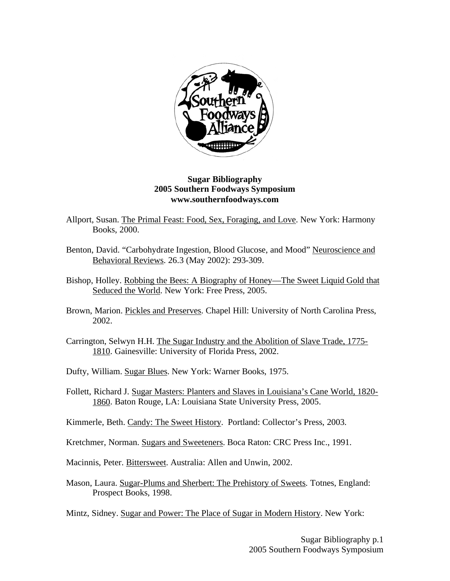

## **Sugar Bibliography 2005 Southern Foodways Symposium www.southernfoodways.com**

- Allport, Susan. The Primal Feast: Food, Sex, Foraging, and Love. New York: Harmony Books, 2000.
- Benton, David. "Carbohydrate Ingestion, Blood Glucose, and Mood" Neuroscience and Behavioral Reviews. 26.3 (May 2002): 293-309.
- Bishop, Holley. Robbing the Bees: A Biography of Honey—The Sweet Liquid Gold that Seduced the World. New York: Free Press, 2005.
- Brown, Marion. Pickles and Preserves. Chapel Hill: University of North Carolina Press, 2002.
- Carrington, Selwyn H.H. The Sugar Industry and the Abolition of Slave Trade, 1775- 1810. Gainesville: University of Florida Press, 2002.
- Dufty, William. Sugar Blues. New York: Warner Books, 1975.
- Follett, Richard J. Sugar Masters: Planters and Slaves in Louisiana's Cane World, 1820- 1860. Baton Rouge, LA: Louisiana State University Press, 2005.

Kimmerle, Beth. Candy: The Sweet History. Portland: Collector's Press, 2003.

- Kretchmer, Norman. Sugars and Sweeteners. Boca Raton: CRC Press Inc., 1991.
- Macinnis, Peter. Bittersweet. Australia: Allen and Unwin, 2002.
- Mason, Laura. Sugar-Plums and Sherbert: The Prehistory of Sweets. Totnes, England: Prospect Books, 1998.
- Mintz, Sidney. Sugar and Power: The Place of Sugar in Modern History. New York: